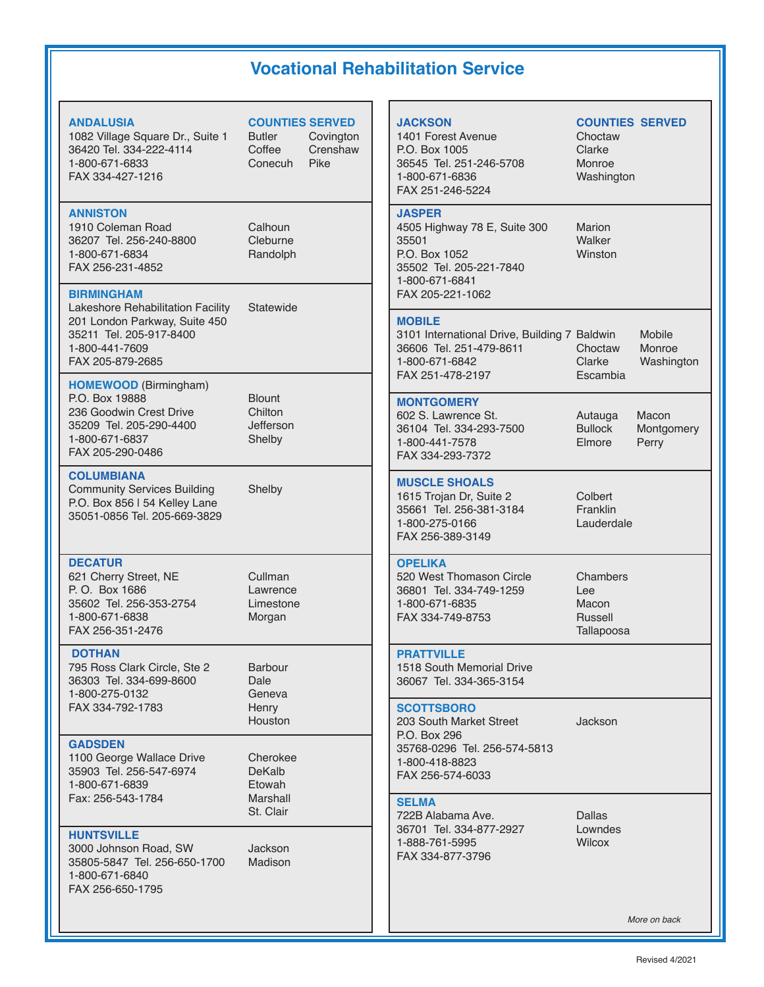## **Vocational Rehabilitation Service**

**ANDALUSIA COUNTIES S**<br> **COUNTIES COUNTIES** 1082 Village Square Dr., Suite 1 Butler C<br>36420 Tel. 334-222-4114 Coffee C 36420 Tel. 334-222-4114 Coffee C<br>1-800-671-6833 Conecuh P 1-800-671-6833 FAX 334-427-1216

#### **ANNISTON**

1910 Coleman Road Calhoun<br>19207 Tel. 256-240-8800 Cleburne 36207 Tel. 256-240-8800 Cleburne 1-800-671-6834 FAX 256-231-4852

#### **BIRMINGHAM**

Lakeshore Rehabilitation Facility Statewide 201 London Parkway, Suite 450 35211 Tel. 205-917-8400 1-800-441-7609 FAX 205-879-2685

**HOMEWOOD** (Birmingham) P.O. Box 19888<br>236 Goodwin Crest Drive **Blount** Chilton 236 Goodwin Crest Drive Chilton<br>35209 Tel. 205-290-4400 Jefferson 35209 Tel. 205-290-4400 Jefferson<br>1-800-671-6837 Shelby 1-800-671-6837 FAX 205-290-0486

### **COLUMBIANA**

Community Services Building Shelby P.O. Box 856 | 54 Kelley Lane 35051-0856 Tel. 205-669-3829

### **DECATUR**

621 Cherry Street, NE Cullman<br>P. O. Box 1686 Lawrence P. O. Box 1686<br>35602 Tel. 256-353-2754 Limestone 35602 Tel. 256-353-2754 1-800-671-6838 Morgan FAX 256-351-2476

#### **DOTHAN**

795 Ross Clark Circle, Ste 2 Barbour 36303 Tel. 334-699-8600 Dale 1-800-275-0132 FAX 334-792-1783 Henry

#### **GADSDEN**

1100 George Wallace Drive Cherokee<br>35903 Tel. 256-547-6974 DeKalb 35903 Tel. 256-547-6974 DeKalb 1-800-671-6839 Etowah Fax: 256-543-1784

#### **HUNTSVILLE**

3000 Johnson Road, SW Jackson 35805-5847 Tel. 256-650-1700 1-800-671-6840 FAX 256-650-1795

St. Clair

Houston

| <b>ERVED</b><br>ovington<br>renshaw<br>ike | <b>JACKSON</b><br>1401 Forest Avenue<br>P.O. Box 1005<br>36545 Tel. 251-246-5708<br>1-800-671-6836<br>FAX 251-246-5224                   | <b>COUN</b><br>Chocta<br>Clarke<br><b>Monro</b><br>Washir |
|--------------------------------------------|------------------------------------------------------------------------------------------------------------------------------------------|-----------------------------------------------------------|
|                                            | <b>JASPER</b><br>4505 Highway 78 E, Suite 300<br>35501<br>P.O. Box 1052<br>35502 Tel. 205-221-7840<br>1-800-671-6841<br>FAX 205-221-1062 | Marion<br>Walker<br>Winsto                                |
|                                            | <b>MOBILE</b><br>3101 International Drive, Building 7 Baldwi<br>36606 Tel. 251-479-8611<br>1-800-671-6842<br>FAX 251-478-2197            | Chocta<br>Clarke<br>Escam                                 |
|                                            | <b>MONTGOMERY</b><br>602 S. Lawrence St.<br>36104 Tel. 334-293-7500<br>1-800-441-7578<br>FAX 334-293-7372                                | Autauc<br><b>Bullock</b><br>Elmore                        |
|                                            | <b>MUSCLE SHOALS</b><br>1615 Trojan Dr, Suite 2<br>35661 Tel. 256-381-3184<br>1-800-275-0166<br>FAX 256-389-3149                         | Colber<br>Frankli<br>Lauder                               |
|                                            | <b>OPELIKA</b><br>520 West Thomason Circle<br>36801 Tel. 334-749-1259<br>1-800-671-6835<br>FAX 334-749-8753                              | Chamb<br>Lee<br>Macon<br>Russel<br>Tallapc                |
|                                            |                                                                                                                                          |                                                           |

**PRATTVILLE** 1518 South Memorial Drive 36067 Tel. 334-365-3154

#### **SCOTTSBORO**

203 South Market Street **Jackson** P.O. Box 296 35768-0296 Tel. 256-574-5813 1-800-418-8823 FAX 256-574-6033

### **SELMA**

722B Alabama Ave. Dallas 36701 Tel. 334-877-2927 Lownde<br>1-888-761-5995 Vilcox 1-888-761-5995 FAX 334-877-3796

Choctaw Clarke<br>2708 Monro **Monroe** Washington

**COUNTIES SERVED** 

Suite 300 Marion Walker Winston

Choctaw<br>Clarke

**Escambia** 

3101 International Drive, Building 7 Baldwin Mobile Washington

- kutauga Macon (1980)<br>1900 Bullock Montac
	- Montgomery Elmore Perry

2 Colbert 3184 Franklin Lauderdale

Circle Chambers<br>1259 Lee Russell **Tallapoosa** 

*More on back*